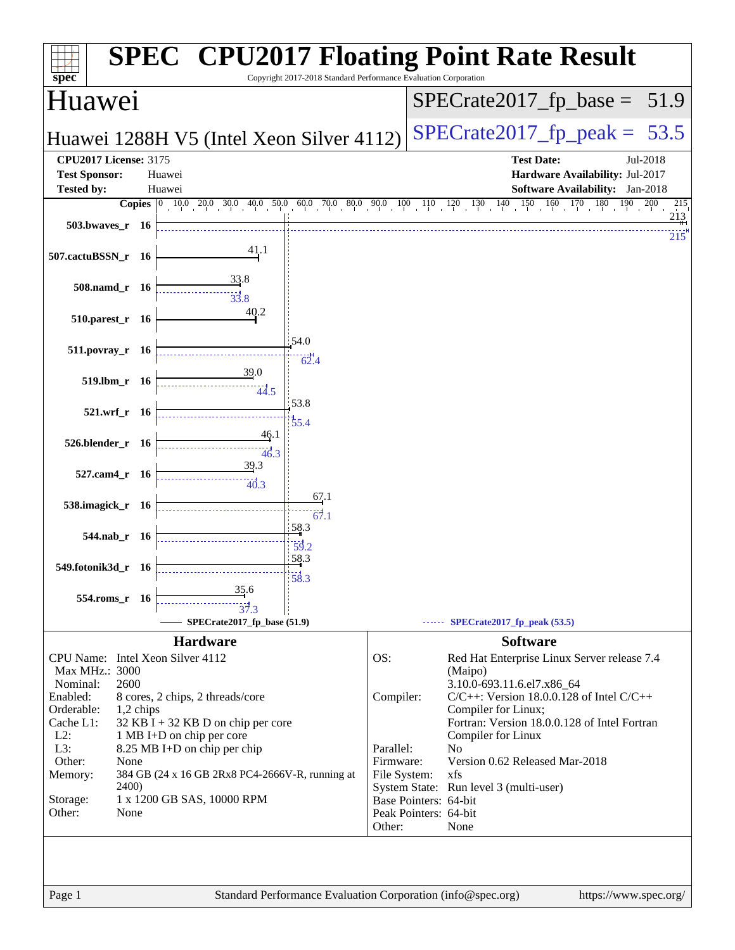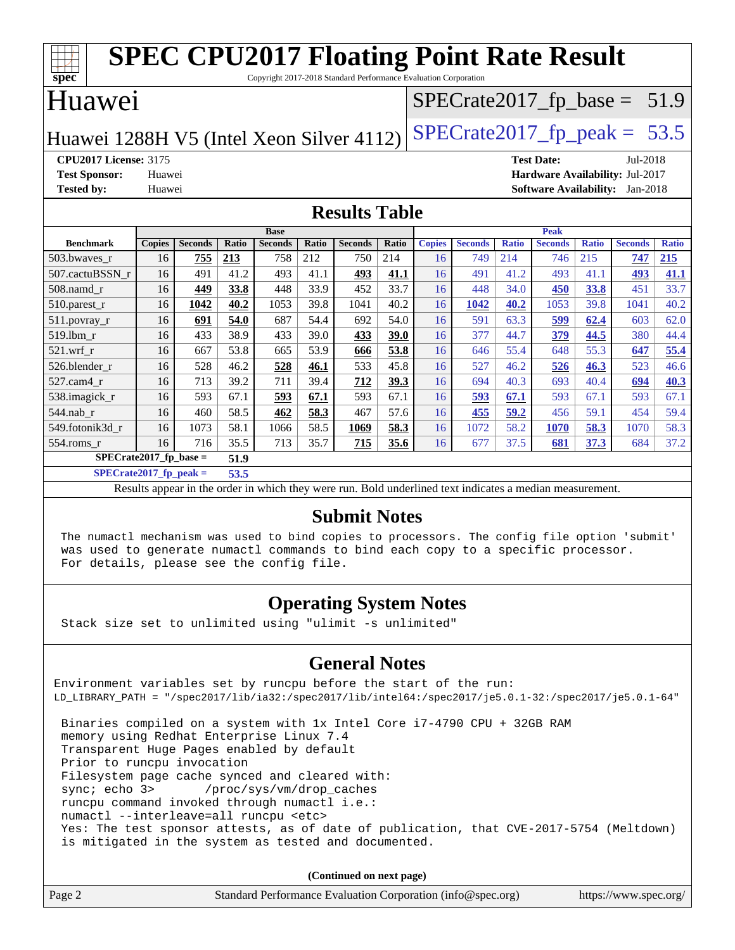| <b>SPEC CPU2017 Floating Point Rate Result</b>                                       |                            |                |       |                |                                |                |       |               |                |              |                                        |              |                |              |
|--------------------------------------------------------------------------------------|----------------------------|----------------|-------|----------------|--------------------------------|----------------|-------|---------------|----------------|--------------|----------------------------------------|--------------|----------------|--------------|
| Copyright 2017-2018 Standard Performance Evaluation Corporation<br>spec <sup>®</sup> |                            |                |       |                |                                |                |       |               |                |              |                                        |              |                |              |
| Huawei                                                                               |                            |                |       |                | $SPECrate2017_fp\_base = 51.9$ |                |       |               |                |              |                                        |              |                |              |
| $SPECrate2017_fp\_peak = 53.5$<br>Huawei 1288H V5 (Intel Xeon Silver 4112)           |                            |                |       |                |                                |                |       |               |                |              |                                        |              |                |              |
| <b>CPU2017 License: 3175</b>                                                         |                            |                |       |                |                                |                |       |               |                |              | <b>Test Date:</b>                      |              | Jul-2018       |              |
| <b>Test Sponsor:</b>                                                                 | Huawei                     |                |       |                |                                |                |       |               |                |              | Hardware Availability: Jul-2017        |              |                |              |
| <b>Tested by:</b>                                                                    | Huawei                     |                |       |                |                                |                |       |               |                |              | <b>Software Availability:</b> Jan-2018 |              |                |              |
| <b>Results Table</b>                                                                 |                            |                |       |                |                                |                |       |               |                |              |                                        |              |                |              |
|                                                                                      | <b>Base</b><br><b>Peak</b> |                |       |                |                                |                |       |               |                |              |                                        |              |                |              |
| <b>Benchmark</b>                                                                     | <b>Copies</b>              | <b>Seconds</b> | Ratio | <b>Seconds</b> | Ratio                          | <b>Seconds</b> | Ratio | <b>Copies</b> | <b>Seconds</b> | <b>Ratio</b> | <b>Seconds</b>                         | <b>Ratio</b> | <b>Seconds</b> | <b>Ratio</b> |
| 503.bwaves r                                                                         | 16                         | 755            | 213   | 758            | 212                            | 750            | 214   | 16            | 749            | 214          | 746                                    | 215          | 747            | 215          |
| 507.cactuBSSN r                                                                      | 16                         | 491            | 41.2  | 493            | 41.1                           | 493            | 41.1  | 16            | 491            | 41.2         | 493                                    | 41.1         | 493            | 41.1         |
| $508$ .namd $r$                                                                      | 16                         | 449            | 33.8  | 448            | 33.9                           | 452            | 33.7  | 16            | 448            | 34.0         | 450                                    | 33.8         | 451            | 33.7         |
| 510.parest_r                                                                         | 16                         | 1042           | 40.2  | 1053           | 39.8                           | 1041           | 40.2  | 16            | 1042           | 40.2         | 1053                                   | 39.8         | 1041           | 40.2         |
| 511.povray_r                                                                         | 16                         | 691            | 54.0  | 687            | 54.4                           | 692            | 54.0  | 16            | 591            | 63.3         | 599                                    | 62.4         | 603            | 62.0         |
| 519.lbm r                                                                            | 16                         | 433            | 38.9  | 433            | 39.0                           | 433            | 39.0  | 16            | 377            | 44.7         | 379                                    | 44.5         | 380            | 44.4         |
| 521.wrf r                                                                            | 16                         | 667            | 53.8  | 665            | 53.9                           | 666            | 53.8  | 16            | 646            | 55.4         | 648                                    | 55.3         | 647            | 55.4         |
| 526.blender r                                                                        | 16                         | 528            | 46.2  | 528            | 46.1                           | 533            | 45.8  | 16            | 527            | 46.2         | 526                                    | 46.3         | 523            | 46.6         |
| 527.cam4_r                                                                           | 16                         | 713            | 39.2  | 711            | 39.4                           | 712            | 39.3  | 16            | 694            | 40.3         | 693                                    | 40.4         | 694            | 40.3         |
| 538.imagick r                                                                        | 16                         | 593            | 67.1  | 593            | 67.1                           | 593            | 67.1  | 16            | 593            | 67.1         | 593                                    | 67.1         | 593            | 67.1         |
| 544.nab r                                                                            | 16                         | 460            | 58.5  | 462            | 58.3                           | 467            | 57.6  | 16            | 455            | 59.2         | 456                                    | 59.1         | 454            | 59.4         |
| 549.fotonik3d r                                                                      | 16                         | 1073           | 58.1  | 1066           | 58.5                           | 1069           | 58.3  | 16            | 1072           | 58.2         | 1070                                   | 58.3         | 1070           | 58.3         |
| 554.roms_r                                                                           | 16                         | 716            | 35.5  | 713            | 35.7                           | 715            | 35.6  | 16            | 677            | 37.5         | 681                                    | 37.3         | 684            | 37.2         |

**[SPECrate2017\\_fp\\_base =](http://www.spec.org/auto/cpu2017/Docs/result-fields.html#SPECrate2017fpbase) 51.9**

**[SPECrate2017\\_fp\\_peak =](http://www.spec.org/auto/cpu2017/Docs/result-fields.html#SPECrate2017fppeak) 53.5**

Results appear in the [order in which they were run.](http://www.spec.org/auto/cpu2017/Docs/result-fields.html#RunOrder) Bold underlined text [indicates a median measurement.](http://www.spec.org/auto/cpu2017/Docs/result-fields.html#Median)

### **[Submit Notes](http://www.spec.org/auto/cpu2017/Docs/result-fields.html#SubmitNotes)**

 The numactl mechanism was used to bind copies to processors. The config file option 'submit' was used to generate numactl commands to bind each copy to a specific processor. For details, please see the config file.

### **[Operating System Notes](http://www.spec.org/auto/cpu2017/Docs/result-fields.html#OperatingSystemNotes)**

Stack size set to unlimited using "ulimit -s unlimited"

### **[General Notes](http://www.spec.org/auto/cpu2017/Docs/result-fields.html#GeneralNotes)**

Environment variables set by runcpu before the start of the run: LD\_LIBRARY\_PATH = "/spec2017/lib/ia32:/spec2017/lib/intel64:/spec2017/je5.0.1-32:/spec2017/je5.0.1-64" Binaries compiled on a system with 1x Intel Core i7-4790 CPU + 32GB RAM memory using Redhat Enterprise Linux 7.4

 Transparent Huge Pages enabled by default Prior to runcpu invocation

Filesystem page cache synced and cleared with:

 sync; echo 3> /proc/sys/vm/drop\_caches runcpu command invoked through numactl i.e.:

numactl --interleave=all runcpu <etc>

 Yes: The test sponsor attests, as of date of publication, that CVE-2017-5754 (Meltdown) is mitigated in the system as tested and documented.

**(Continued on next page)**

| Page 2<br>Standard Performance Evaluation Corporation (info@spec.org)<br>https://www.spec.org/ |
|------------------------------------------------------------------------------------------------|
|------------------------------------------------------------------------------------------------|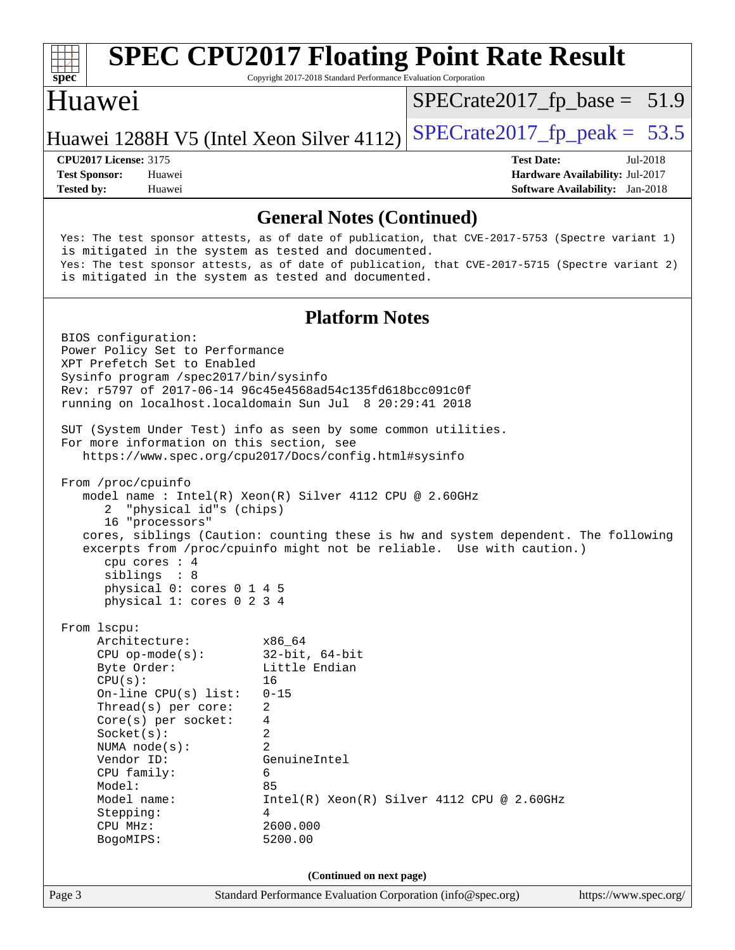| s<br>De<br>I<br>Ľ |  |  |  |  |  |  |  |
|-------------------|--|--|--|--|--|--|--|

Copyright 2017-2018 Standard Performance Evaluation Corporation

### Huawei

 $SPECTate2017_fp\_base = 51.9$ 

Huawei 1288H V5 (Intel Xeon Silver 4112) SPECrate  $2017$  fp peak = 53.5

**[Tested by:](http://www.spec.org/auto/cpu2017/Docs/result-fields.html#Testedby)** Huawei **[Software Availability:](http://www.spec.org/auto/cpu2017/Docs/result-fields.html#SoftwareAvailability)** Jan-2018

**[CPU2017 License:](http://www.spec.org/auto/cpu2017/Docs/result-fields.html#CPU2017License)** 3175 **[Test Date:](http://www.spec.org/auto/cpu2017/Docs/result-fields.html#TestDate)** Jul-2018 **[Test Sponsor:](http://www.spec.org/auto/cpu2017/Docs/result-fields.html#TestSponsor)** Huawei **[Hardware Availability:](http://www.spec.org/auto/cpu2017/Docs/result-fields.html#HardwareAvailability)** Jul-2017

### **[General Notes \(Continued\)](http://www.spec.org/auto/cpu2017/Docs/result-fields.html#GeneralNotes)**

 Yes: The test sponsor attests, as of date of publication, that CVE-2017-5753 (Spectre variant 1) is mitigated in the system as tested and documented. Yes: The test sponsor attests, as of date of publication, that CVE-2017-5715 (Spectre variant 2) is mitigated in the system as tested and documented.

### **[Platform Notes](http://www.spec.org/auto/cpu2017/Docs/result-fields.html#PlatformNotes)**

Page 3 Standard Performance Evaluation Corporation [\(info@spec.org\)](mailto:info@spec.org) <https://www.spec.org/> BIOS configuration: Power Policy Set to Performance XPT Prefetch Set to Enabled Sysinfo program /spec2017/bin/sysinfo Rev: r5797 of 2017-06-14 96c45e4568ad54c135fd618bcc091c0f running on localhost.localdomain Sun Jul 8 20:29:41 2018 SUT (System Under Test) info as seen by some common utilities. For more information on this section, see <https://www.spec.org/cpu2017/Docs/config.html#sysinfo> From /proc/cpuinfo model name : Intel(R) Xeon(R) Silver 4112 CPU @ 2.60GHz 2 "physical id"s (chips) 16 "processors" cores, siblings (Caution: counting these is hw and system dependent. The following excerpts from /proc/cpuinfo might not be reliable. Use with caution.) cpu cores : 4 siblings : 8 physical 0: cores 0 1 4 5 physical 1: cores 0 2 3 4 From lscpu: Architecture: x86\_64 CPU op-mode(s): 32-bit, 64-bit Byte Order: Little Endian  $CPU(s):$  16 On-line CPU(s) list: 0-15 Thread(s) per core: 2 Core(s) per socket: 4 Socket(s): 2 NUMA node(s): 2 Vendor ID: GenuineIntel CPU family: 6 Model: 85 Model name: Intel(R) Xeon(R) Silver 4112 CPU @ 2.60GHz Stepping: 4 CPU MHz: 2600.000 BogoMIPS: 5200.00 **(Continued on next page)**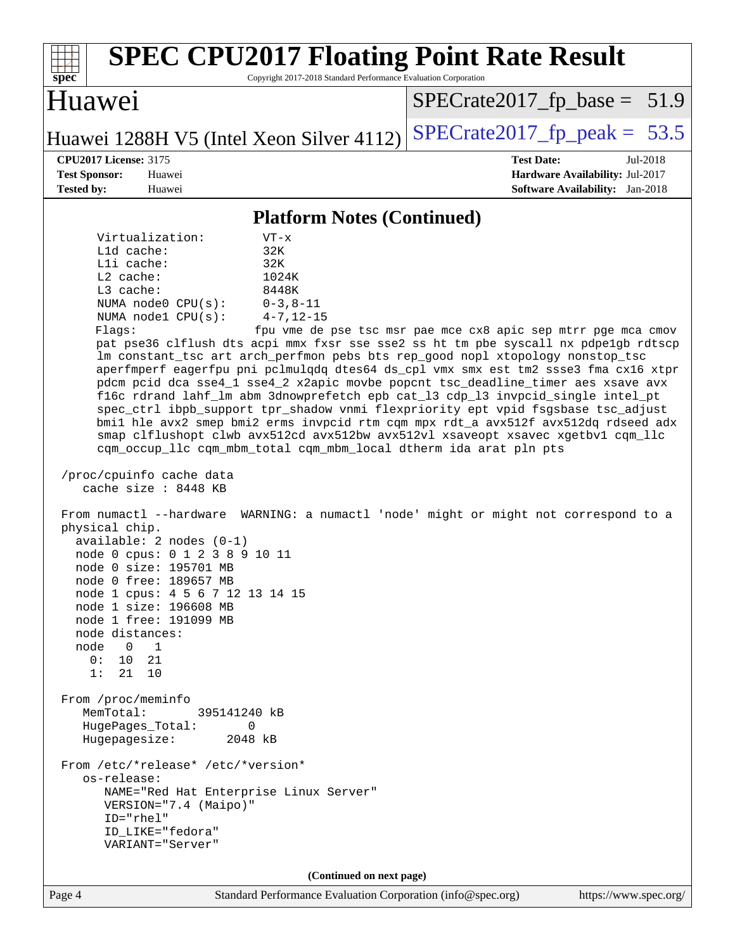| <b>SPEC CPU2017 Floating Point Rate Result</b><br>Copyright 2017-2018 Standard Performance Evaluation Corporation<br>spec <sup>®</sup>                                                                                                                                                                                                                                                                                                                                                                                                                                                                                                                                                                                                                                                                                                                                                                                                                                                                                                                                                                                                                                                                                                                                                                                                                                                                                                                                                                                                                                                                                                                                                                                                                               |                                                                                                            |
|----------------------------------------------------------------------------------------------------------------------------------------------------------------------------------------------------------------------------------------------------------------------------------------------------------------------------------------------------------------------------------------------------------------------------------------------------------------------------------------------------------------------------------------------------------------------------------------------------------------------------------------------------------------------------------------------------------------------------------------------------------------------------------------------------------------------------------------------------------------------------------------------------------------------------------------------------------------------------------------------------------------------------------------------------------------------------------------------------------------------------------------------------------------------------------------------------------------------------------------------------------------------------------------------------------------------------------------------------------------------------------------------------------------------------------------------------------------------------------------------------------------------------------------------------------------------------------------------------------------------------------------------------------------------------------------------------------------------------------------------------------------------|------------------------------------------------------------------------------------------------------------|
| Huawei                                                                                                                                                                                                                                                                                                                                                                                                                                                                                                                                                                                                                                                                                                                                                                                                                                                                                                                                                                                                                                                                                                                                                                                                                                                                                                                                                                                                                                                                                                                                                                                                                                                                                                                                                               | $SPECrate2017_fp\_base = 51.9$                                                                             |
| Huawei 1288H V5 (Intel Xeon Silver 4112)                                                                                                                                                                                                                                                                                                                                                                                                                                                                                                                                                                                                                                                                                                                                                                                                                                                                                                                                                                                                                                                                                                                                                                                                                                                                                                                                                                                                                                                                                                                                                                                                                                                                                                                             | $SPECTate2017$ _fp_peak = 53.5                                                                             |
| <b>CPU2017 License: 3175</b><br><b>Test Sponsor:</b><br>Huawei<br><b>Tested by:</b><br>Huawei                                                                                                                                                                                                                                                                                                                                                                                                                                                                                                                                                                                                                                                                                                                                                                                                                                                                                                                                                                                                                                                                                                                                                                                                                                                                                                                                                                                                                                                                                                                                                                                                                                                                        | <b>Test Date:</b><br>Jul-2018<br>Hardware Availability: Jul-2017<br><b>Software Availability:</b> Jan-2018 |
| <b>Platform Notes (Continued)</b>                                                                                                                                                                                                                                                                                                                                                                                                                                                                                                                                                                                                                                                                                                                                                                                                                                                                                                                                                                                                                                                                                                                                                                                                                                                                                                                                                                                                                                                                                                                                                                                                                                                                                                                                    |                                                                                                            |
| Virtualization:<br>$VT - x$<br>32K<br>L1d cache:<br>Lli cache:<br>32K<br>L2 cache:<br>1024K<br>L3 cache:<br>8448K<br>NUMA node0 CPU(s):<br>$0 - 3, 8 - 11$<br>NUMA nodel CPU(s):<br>$4 - 7, 12 - 15$<br>Flags:<br>pat pse36 clflush dts acpi mmx fxsr sse sse2 ss ht tm pbe syscall nx pdpe1gb rdtscp<br>lm constant_tsc art arch_perfmon pebs bts rep_good nopl xtopology nonstop_tsc<br>aperfmperf eagerfpu pni pclmulqdq dtes64 ds_cpl vmx smx est tm2 ssse3 fma cx16 xtpr<br>pdcm pcid dca sse4_1 sse4_2 x2apic movbe popcnt tsc_deadline_timer aes xsave avx<br>f16c rdrand lahf_lm abm 3dnowprefetch epb cat_13 cdp_13 invpcid_single intel_pt<br>spec_ctrl ibpb_support tpr_shadow vnmi flexpriority ept vpid fsgsbase tsc_adjust<br>bmil hle avx2 smep bmi2 erms invpcid rtm cqm mpx rdt_a avx512f avx512dq rdseed adx<br>smap clflushopt clwb avx512cd avx512bw avx512vl xsaveopt xsavec xgetbvl cqm_llc<br>cqm_occup_llc cqm_mbm_total cqm_mbm_local dtherm ida arat pln pts<br>/proc/cpuinfo cache data<br>cache size : 8448 KB<br>From numactl --hardware WARNING: a numactl 'node' might or might not correspond to a<br>physical chip.<br>$available: 2 nodes (0-1)$<br>node 0 cpus: 0 1 2 3 8 9 10 11<br>node 0 size: 195701 MB<br>node 0 free: 189657 MB<br>node 1 cpus: 4 5 6 7 12 13 14 15<br>node 1 size: 196608 MB<br>node 1 free: 191099 MB<br>node distances:<br>node<br>$\overline{0}$<br>1<br>10<br>0:<br>21<br>1:<br>21 10<br>From /proc/meminfo<br>MemTotal:<br>395141240 kB<br>HugePages_Total:<br>0<br>Hugepagesize:<br>2048 kB<br>From /etc/*release* /etc/*version*<br>os-release:<br>NAME="Red Hat Enterprise Linux Server"<br>VERSION="7.4 (Maipo)"<br>ID="rhel"<br>ID_LIKE="fedora"<br>VARIANT="Server"<br>(Continued on next page) | fpu vme de pse tsc msr pae mce cx8 apic sep mtrr pge mca cmov                                              |
| Page 4<br>Standard Performance Evaluation Corporation (info@spec.org)                                                                                                                                                                                                                                                                                                                                                                                                                                                                                                                                                                                                                                                                                                                                                                                                                                                                                                                                                                                                                                                                                                                                                                                                                                                                                                                                                                                                                                                                                                                                                                                                                                                                                                | https://www.spec.org/                                                                                      |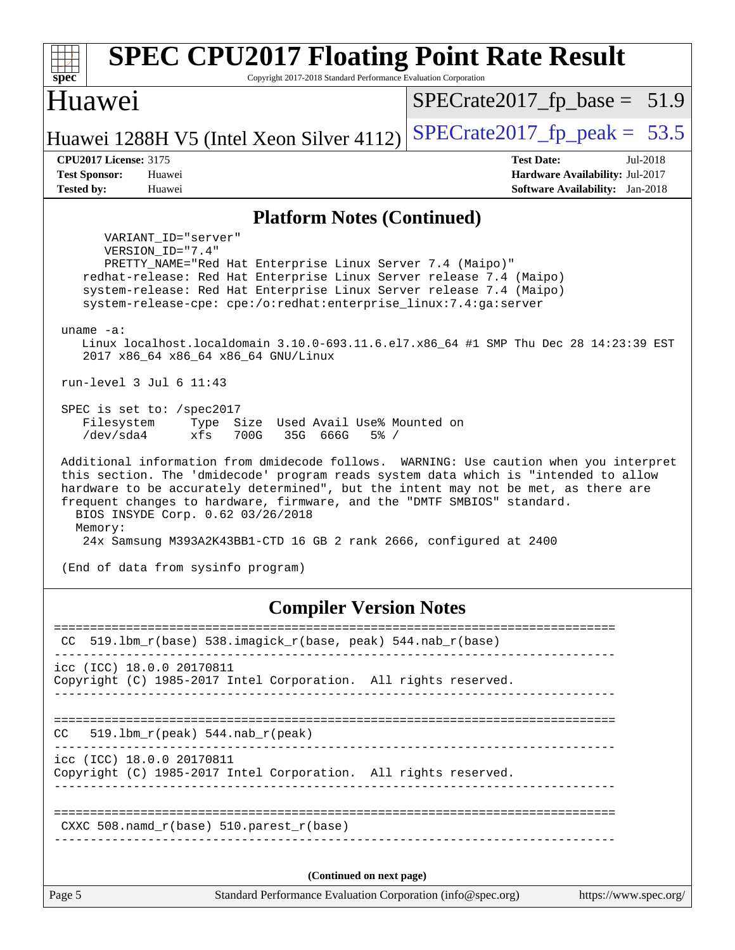| <b>SPEC CPU2017 Floating Point Rate Result</b><br>Copyright 2017-2018 Standard Performance Evaluation Corporation<br>$spec^*$                                                                                                                                                                                                                                                                                                                                        |                                                                           |
|----------------------------------------------------------------------------------------------------------------------------------------------------------------------------------------------------------------------------------------------------------------------------------------------------------------------------------------------------------------------------------------------------------------------------------------------------------------------|---------------------------------------------------------------------------|
| Huawei                                                                                                                                                                                                                                                                                                                                                                                                                                                               | $SPECrate2017_fp\_base = 51.9$                                            |
| Huawei 1288H V5 (Intel Xeon Silver 4112)                                                                                                                                                                                                                                                                                                                                                                                                                             | $SPECrate2017_fp\_peak = 53.5$                                            |
| <b>CPU2017 License: 3175</b>                                                                                                                                                                                                                                                                                                                                                                                                                                         | <b>Test Date:</b><br>Jul-2018                                             |
| <b>Test Sponsor:</b><br>Huawei<br><b>Tested by:</b><br>Huawei                                                                                                                                                                                                                                                                                                                                                                                                        | Hardware Availability: Jul-2017<br><b>Software Availability:</b> Jan-2018 |
| <b>Platform Notes (Continued)</b>                                                                                                                                                                                                                                                                                                                                                                                                                                    |                                                                           |
| VARIANT ID="server"                                                                                                                                                                                                                                                                                                                                                                                                                                                  |                                                                           |
| VERSION_ID="7.4"<br>PRETTY_NAME="Red Hat Enterprise Linux Server 7.4 (Maipo)"<br>redhat-release: Red Hat Enterprise Linux Server release 7.4 (Maipo)<br>system-release: Red Hat Enterprise Linux Server release 7.4 (Maipo)<br>system-release-cpe: cpe:/o:redhat:enterprise_linux:7.4:ga:server                                                                                                                                                                      |                                                                           |
| uname $-a$ :<br>Linux localhost.localdomain 3.10.0-693.11.6.el7.x86_64 #1 SMP Thu Dec 28 14:23:39 EST<br>2017 x86_64 x86_64 x86_64 GNU/Linux                                                                                                                                                                                                                                                                                                                         |                                                                           |
| run-level 3 Jul 6 11:43                                                                                                                                                                                                                                                                                                                                                                                                                                              |                                                                           |
| SPEC is set to: /spec2017<br>Filesystem<br>Size Used Avail Use% Mounted on<br>Type<br>/dev/sda4<br>xfs<br>700G<br>35G 666G<br>$5\%$ /                                                                                                                                                                                                                                                                                                                                |                                                                           |
| Additional information from dmidecode follows. WARNING: Use caution when you interpret<br>this section. The 'dmidecode' program reads system data which is "intended to allow<br>hardware to be accurately determined", but the intent may not be met, as there are<br>frequent changes to hardware, firmware, and the "DMTF SMBIOS" standard.<br>BIOS INSYDE Corp. 0.62 03/26/2018<br>Memory:<br>24x Samsung M393A2K43BB1-CTD 16 GB 2 rank 2666, configured at 2400 |                                                                           |
| (End of data from sysinfo program)                                                                                                                                                                                                                                                                                                                                                                                                                                   |                                                                           |
| <b>Compiler Version Notes</b>                                                                                                                                                                                                                                                                                                                                                                                                                                        |                                                                           |
| $519.1$ bm_r(base) 538.imagick_r(base, peak) 544.nab_r(base)<br>CC.                                                                                                                                                                                                                                                                                                                                                                                                  |                                                                           |
| icc (ICC) 18.0.0 20170811<br>Copyright (C) 1985-2017 Intel Corporation. All rights reserved.                                                                                                                                                                                                                                                                                                                                                                         |                                                                           |
| 519.1bm_r(peak) 544.nab_r(peak)<br>CC                                                                                                                                                                                                                                                                                                                                                                                                                                |                                                                           |
| icc (ICC) 18.0.0 20170811<br>Copyright (C) 1985-2017 Intel Corporation. All rights reserved.                                                                                                                                                                                                                                                                                                                                                                         |                                                                           |
| $CXXC 508.namd_r(base) 510.parest_r(base)$                                                                                                                                                                                                                                                                                                                                                                                                                           |                                                                           |

**(Continued on next page)**

------------------------------------------------------------------------------

Page 5 Standard Performance Evaluation Corporation [\(info@spec.org\)](mailto:info@spec.org) <https://www.spec.org/>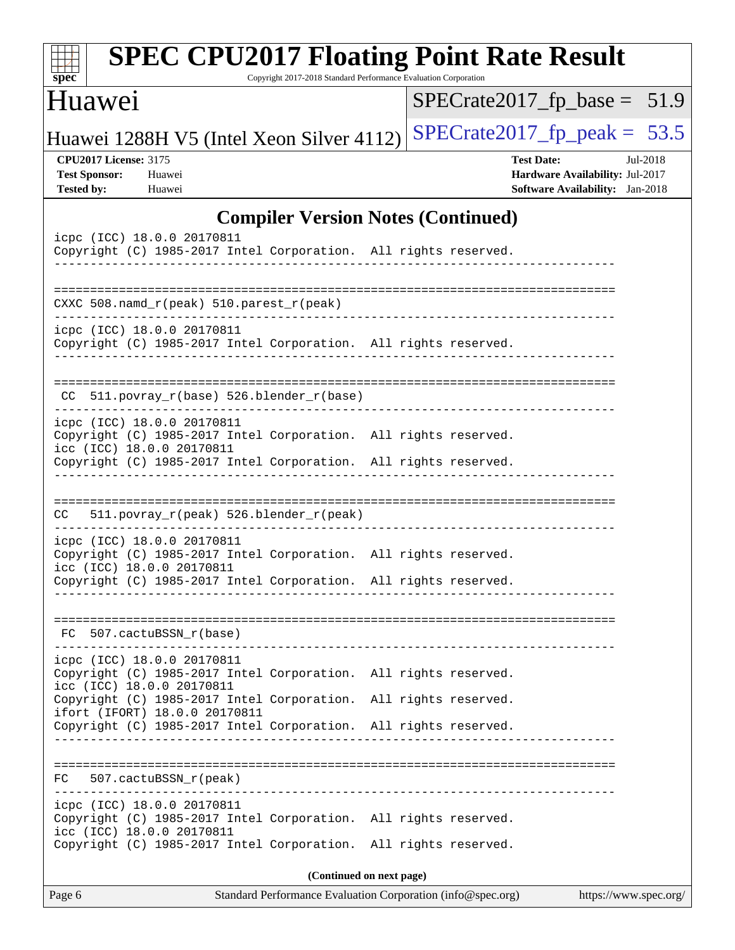| <b>SPEC CPU2017 Floating Point Rate Result</b><br>Copyright 2017-2018 Standard Performance Evaluation Corporation<br>$spec^*$                                                                 |                                                                                                            |  |  |  |  |  |  |  |
|-----------------------------------------------------------------------------------------------------------------------------------------------------------------------------------------------|------------------------------------------------------------------------------------------------------------|--|--|--|--|--|--|--|
| Huawei                                                                                                                                                                                        | $SPECrate2017_fp\_base = 51.9$                                                                             |  |  |  |  |  |  |  |
| Huawei 1288H V5 (Intel Xeon Silver 4112)                                                                                                                                                      | $SPECrate2017_fp\_peak = 53.5$                                                                             |  |  |  |  |  |  |  |
| <b>CPU2017 License: 3175</b><br><b>Test Sponsor:</b><br>Huawei<br><b>Tested by:</b><br>Huawei                                                                                                 | <b>Test Date:</b><br>Jul-2018<br>Hardware Availability: Jul-2017<br><b>Software Availability:</b> Jan-2018 |  |  |  |  |  |  |  |
| <b>Compiler Version Notes (Continued)</b>                                                                                                                                                     |                                                                                                            |  |  |  |  |  |  |  |
| icpc (ICC) 18.0.0 20170811<br>Copyright (C) 1985-2017 Intel Corporation. All rights reserved.                                                                                                 |                                                                                                            |  |  |  |  |  |  |  |
| $CXXC 508.namd_r (peak) 510.parest_r (peak)$                                                                                                                                                  |                                                                                                            |  |  |  |  |  |  |  |
| icpc (ICC) 18.0.0 20170811<br>Copyright (C) 1985-2017 Intel Corporation. All rights reserved.                                                                                                 |                                                                                                            |  |  |  |  |  |  |  |
| $CC$ 511.povray_r(base) 526.blender_r(base)                                                                                                                                                   |                                                                                                            |  |  |  |  |  |  |  |
| icpc (ICC) 18.0.0 20170811<br>Copyright (C) 1985-2017 Intel Corporation. All rights reserved.<br>icc (ICC) 18.0.0 20170811<br>Copyright (C) 1985-2017 Intel Corporation. All rights reserved. |                                                                                                            |  |  |  |  |  |  |  |
| 511.povray_r(peak) 526.blender_r(peak)<br>CC.                                                                                                                                                 |                                                                                                            |  |  |  |  |  |  |  |
| icpc (ICC) 18.0.0 20170811<br>Copyright (C) 1985-2017 Intel Corporation. All rights reserved.<br>icc (ICC) 18.0.0 20170811<br>Copyright (C) 1985-2017 Intel Corporation. All rights reserved. |                                                                                                            |  |  |  |  |  |  |  |
| 507.cactuBSSN_r(base)<br>FC.                                                                                                                                                                  |                                                                                                            |  |  |  |  |  |  |  |
| icpc (ICC) 18.0.0 20170811<br>Copyright (C) 1985-2017 Intel Corporation. All rights reserved.<br>icc (ICC) 18.0.0 20170811                                                                    |                                                                                                            |  |  |  |  |  |  |  |
| Copyright (C) 1985-2017 Intel Corporation. All rights reserved.<br>ifort (IFORT) 18.0.0 20170811<br>Copyright (C) 1985-2017 Intel Corporation. All rights reserved.                           |                                                                                                            |  |  |  |  |  |  |  |
| 507.cactuBSSN r(peak)<br>FC.                                                                                                                                                                  |                                                                                                            |  |  |  |  |  |  |  |
| icpc (ICC) 18.0.0 20170811<br>Copyright (C) 1985-2017 Intel Corporation. All rights reserved.<br>icc (ICC) 18.0.0 20170811<br>Copyright (C) 1985-2017 Intel Corporation. All rights reserved. |                                                                                                            |  |  |  |  |  |  |  |
| (Continued on next page)                                                                                                                                                                      |                                                                                                            |  |  |  |  |  |  |  |
| Page 6<br>Standard Performance Evaluation Corporation (info@spec.org)                                                                                                                         | https://www.spec.org/                                                                                      |  |  |  |  |  |  |  |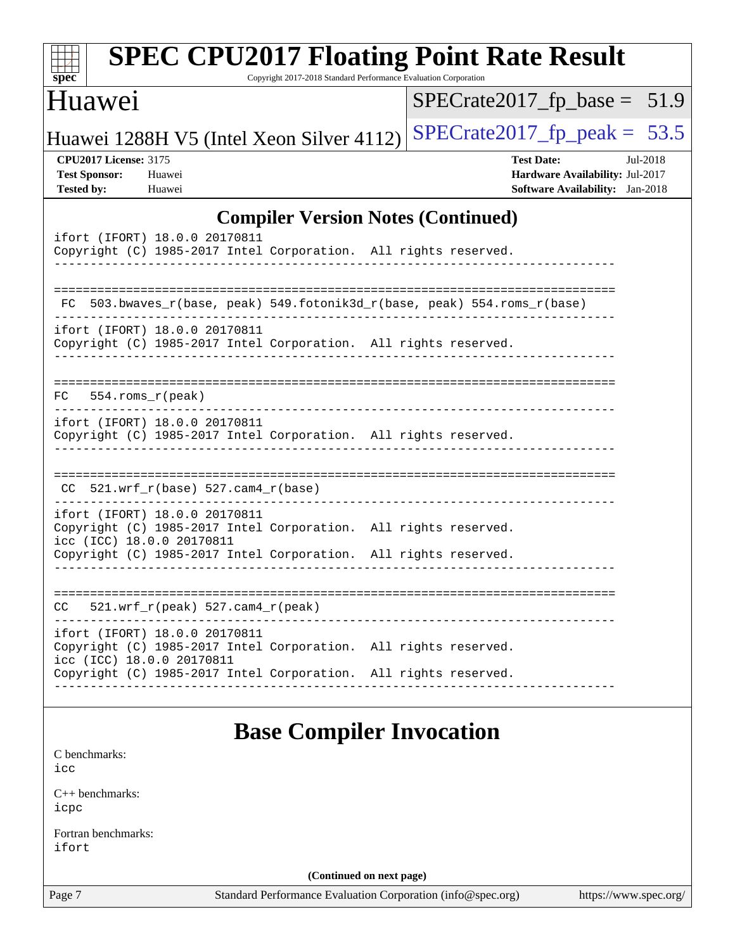| spec <sup>®</sup>                                                                                                                                                                                | <b>SPEC CPU2017 Floating Point Rate Result</b><br>Copyright 2017-2018 Standard Performance Evaluation Corporation |  |                                                                                         |          |
|--------------------------------------------------------------------------------------------------------------------------------------------------------------------------------------------------|-------------------------------------------------------------------------------------------------------------------|--|-----------------------------------------------------------------------------------------|----------|
| Huawei                                                                                                                                                                                           |                                                                                                                   |  | $SPECrate2017_fp\_base = 51.9$                                                          |          |
| Huawei 1288H V5 (Intel Xeon Silver 4112)                                                                                                                                                         |                                                                                                                   |  | $SPECrate2017_fp\_peak = 53.5$                                                          |          |
| <b>CPU2017 License: 3175</b><br><b>Test Sponsor:</b><br>Huawei<br><b>Tested by:</b><br>Huawei                                                                                                    |                                                                                                                   |  | <b>Test Date:</b><br>Hardware Availability: Jul-2017<br>Software Availability: Jan-2018 | Jul-2018 |
|                                                                                                                                                                                                  | <b>Compiler Version Notes (Continued)</b>                                                                         |  |                                                                                         |          |
| ifort (IFORT) 18.0.0 20170811<br>Copyright (C) 1985-2017 Intel Corporation. All rights reserved.                                                                                                 |                                                                                                                   |  |                                                                                         |          |
|                                                                                                                                                                                                  | FC 503.bwaves_r(base, peak) 549.fotonik3d_r(base, peak) 554.roms_r(base)                                          |  |                                                                                         |          |
| ifort (IFORT) 18.0.0 20170811<br>Copyright (C) 1985-2017 Intel Corporation. All rights reserved.                                                                                                 |                                                                                                                   |  |                                                                                         |          |
| 554.roms r(peak)<br>FC.                                                                                                                                                                          |                                                                                                                   |  |                                                                                         |          |
| ifort (IFORT) 18.0.0 20170811<br>Copyright (C) 1985-2017 Intel Corporation. All rights reserved.                                                                                                 |                                                                                                                   |  |                                                                                         |          |
| $CC$ 521.wrf_r(base) 527.cam4_r(base)                                                                                                                                                            |                                                                                                                   |  |                                                                                         |          |
| ifort (IFORT) 18.0.0 20170811<br>Copyright (C) 1985-2017 Intel Corporation. All rights reserved.<br>icc (ICC) 18.0.0 20170811<br>Copyright (C) 1985-2017 Intel Corporation. All rights reserved. |                                                                                                                   |  |                                                                                         |          |
| $521.wrf_r(peak) 527.cam4_r(peak)$<br>CC                                                                                                                                                         |                                                                                                                   |  |                                                                                         |          |
| ifort (IFORT) 18.0.0 20170811<br>Copyright (C) 1985-2017 Intel Corporation. All rights reserved.<br>icc (ICC) 18.0.0 20170811                                                                    |                                                                                                                   |  |                                                                                         |          |
| Copyright (C) 1985-2017 Intel Corporation. All rights reserved.                                                                                                                                  |                                                                                                                   |  |                                                                                         |          |
|                                                                                                                                                                                                  | <b>Base Compiler Invocation</b>                                                                                   |  |                                                                                         |          |
| C benchmarks:<br>icc                                                                                                                                                                             |                                                                                                                   |  |                                                                                         |          |
| $C_{++}$ benchmarks:<br>icpc                                                                                                                                                                     |                                                                                                                   |  |                                                                                         |          |
| Fortran benchmarks:<br>ifort                                                                                                                                                                     |                                                                                                                   |  |                                                                                         |          |
|                                                                                                                                                                                                  | (Continued on next page)                                                                                          |  |                                                                                         |          |
| Page 7                                                                                                                                                                                           | Standard Performance Evaluation Corporation (info@spec.org)                                                       |  | https://www.spec.org/                                                                   |          |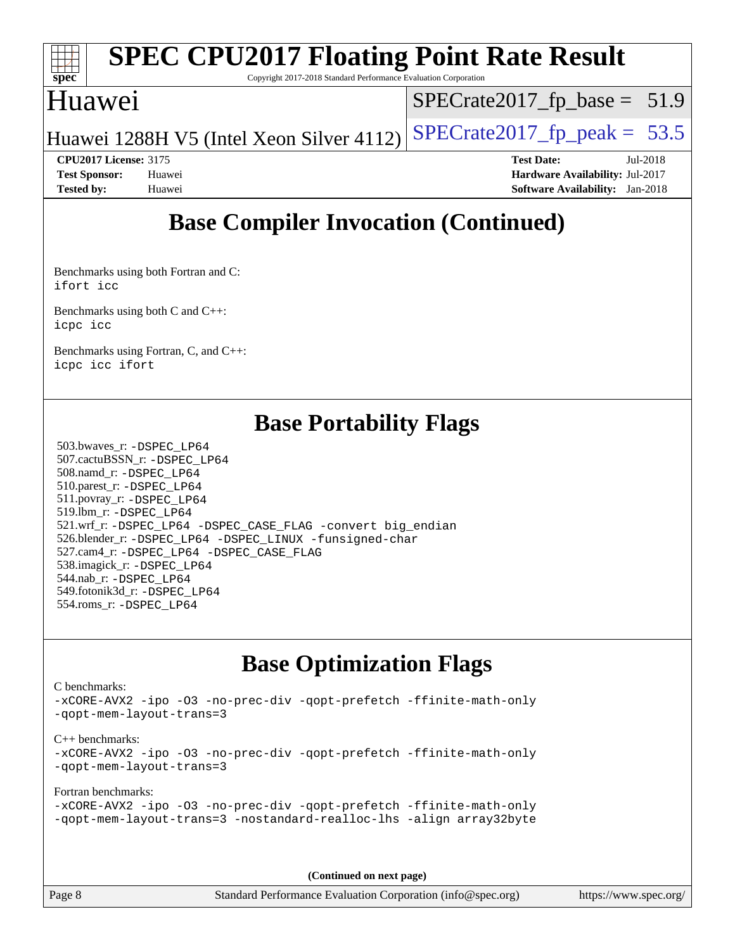

Copyright 2017-2018 Standard Performance Evaluation Corporation

### Huawei

 $SPECrate2017_fp\_base = 51.9$ 

Huawei 1288H V5 (Intel Xeon Silver 4112) SPECrate  $2017$  fp peak = 53.5

**[Test Sponsor:](http://www.spec.org/auto/cpu2017/Docs/result-fields.html#TestSponsor)** Huawei **[Hardware Availability:](http://www.spec.org/auto/cpu2017/Docs/result-fields.html#HardwareAvailability)** Jul-2017 **[Tested by:](http://www.spec.org/auto/cpu2017/Docs/result-fields.html#Testedby)** Huawei **[Software Availability:](http://www.spec.org/auto/cpu2017/Docs/result-fields.html#SoftwareAvailability)** Jan-2018

**[CPU2017 License:](http://www.spec.org/auto/cpu2017/Docs/result-fields.html#CPU2017License)** 3175 **[Test Date:](http://www.spec.org/auto/cpu2017/Docs/result-fields.html#TestDate)** Jul-2018

**[Base Compiler Invocation \(Continued\)](http://www.spec.org/auto/cpu2017/Docs/result-fields.html#BaseCompilerInvocation)**

[Benchmarks using both Fortran and C](http://www.spec.org/auto/cpu2017/Docs/result-fields.html#BenchmarksusingbothFortranandC): [ifort](http://www.spec.org/cpu2017/results/res2018q3/cpu2017-20180715-07862.flags.html#user_CC_FCbase_intel_ifort_18.0_8111460550e3ca792625aed983ce982f94888b8b503583aa7ba2b8303487b4d8a21a13e7191a45c5fd58ff318f48f9492884d4413fa793fd88dd292cad7027ca) [icc](http://www.spec.org/cpu2017/results/res2018q3/cpu2017-20180715-07862.flags.html#user_CC_FCbase_intel_icc_18.0_66fc1ee009f7361af1fbd72ca7dcefbb700085f36577c54f309893dd4ec40d12360134090235512931783d35fd58c0460139e722d5067c5574d8eaf2b3e37e92)

[Benchmarks using both C and C++](http://www.spec.org/auto/cpu2017/Docs/result-fields.html#BenchmarksusingbothCandCXX): [icpc](http://www.spec.org/cpu2017/results/res2018q3/cpu2017-20180715-07862.flags.html#user_CC_CXXbase_intel_icpc_18.0_c510b6838c7f56d33e37e94d029a35b4a7bccf4766a728ee175e80a419847e808290a9b78be685c44ab727ea267ec2f070ec5dc83b407c0218cded6866a35d07) [icc](http://www.spec.org/cpu2017/results/res2018q3/cpu2017-20180715-07862.flags.html#user_CC_CXXbase_intel_icc_18.0_66fc1ee009f7361af1fbd72ca7dcefbb700085f36577c54f309893dd4ec40d12360134090235512931783d35fd58c0460139e722d5067c5574d8eaf2b3e37e92)

[Benchmarks using Fortran, C, and C++:](http://www.spec.org/auto/cpu2017/Docs/result-fields.html#BenchmarksusingFortranCandCXX) [icpc](http://www.spec.org/cpu2017/results/res2018q3/cpu2017-20180715-07862.flags.html#user_CC_CXX_FCbase_intel_icpc_18.0_c510b6838c7f56d33e37e94d029a35b4a7bccf4766a728ee175e80a419847e808290a9b78be685c44ab727ea267ec2f070ec5dc83b407c0218cded6866a35d07) [icc](http://www.spec.org/cpu2017/results/res2018q3/cpu2017-20180715-07862.flags.html#user_CC_CXX_FCbase_intel_icc_18.0_66fc1ee009f7361af1fbd72ca7dcefbb700085f36577c54f309893dd4ec40d12360134090235512931783d35fd58c0460139e722d5067c5574d8eaf2b3e37e92) [ifort](http://www.spec.org/cpu2017/results/res2018q3/cpu2017-20180715-07862.flags.html#user_CC_CXX_FCbase_intel_ifort_18.0_8111460550e3ca792625aed983ce982f94888b8b503583aa7ba2b8303487b4d8a21a13e7191a45c5fd58ff318f48f9492884d4413fa793fd88dd292cad7027ca)

### **[Base Portability Flags](http://www.spec.org/auto/cpu2017/Docs/result-fields.html#BasePortabilityFlags)**

 503.bwaves\_r: [-DSPEC\\_LP64](http://www.spec.org/cpu2017/results/res2018q3/cpu2017-20180715-07862.flags.html#suite_basePORTABILITY503_bwaves_r_DSPEC_LP64) 507.cactuBSSN\_r: [-DSPEC\\_LP64](http://www.spec.org/cpu2017/results/res2018q3/cpu2017-20180715-07862.flags.html#suite_basePORTABILITY507_cactuBSSN_r_DSPEC_LP64) 508.namd\_r: [-DSPEC\\_LP64](http://www.spec.org/cpu2017/results/res2018q3/cpu2017-20180715-07862.flags.html#suite_basePORTABILITY508_namd_r_DSPEC_LP64) 510.parest\_r: [-DSPEC\\_LP64](http://www.spec.org/cpu2017/results/res2018q3/cpu2017-20180715-07862.flags.html#suite_basePORTABILITY510_parest_r_DSPEC_LP64) 511.povray\_r: [-DSPEC\\_LP64](http://www.spec.org/cpu2017/results/res2018q3/cpu2017-20180715-07862.flags.html#suite_basePORTABILITY511_povray_r_DSPEC_LP64) 519.lbm\_r: [-DSPEC\\_LP64](http://www.spec.org/cpu2017/results/res2018q3/cpu2017-20180715-07862.flags.html#suite_basePORTABILITY519_lbm_r_DSPEC_LP64) 521.wrf\_r: [-DSPEC\\_LP64](http://www.spec.org/cpu2017/results/res2018q3/cpu2017-20180715-07862.flags.html#suite_basePORTABILITY521_wrf_r_DSPEC_LP64) [-DSPEC\\_CASE\\_FLAG](http://www.spec.org/cpu2017/results/res2018q3/cpu2017-20180715-07862.flags.html#b521.wrf_r_baseCPORTABILITY_DSPEC_CASE_FLAG) [-convert big\\_endian](http://www.spec.org/cpu2017/results/res2018q3/cpu2017-20180715-07862.flags.html#user_baseFPORTABILITY521_wrf_r_convert_big_endian_c3194028bc08c63ac5d04de18c48ce6d347e4e562e8892b8bdbdc0214820426deb8554edfa529a3fb25a586e65a3d812c835984020483e7e73212c4d31a38223) 526.blender\_r: [-DSPEC\\_LP64](http://www.spec.org/cpu2017/results/res2018q3/cpu2017-20180715-07862.flags.html#suite_basePORTABILITY526_blender_r_DSPEC_LP64) [-DSPEC\\_LINUX](http://www.spec.org/cpu2017/results/res2018q3/cpu2017-20180715-07862.flags.html#b526.blender_r_baseCPORTABILITY_DSPEC_LINUX) [-funsigned-char](http://www.spec.org/cpu2017/results/res2018q3/cpu2017-20180715-07862.flags.html#user_baseCPORTABILITY526_blender_r_force_uchar_40c60f00ab013830e2dd6774aeded3ff59883ba5a1fc5fc14077f794d777847726e2a5858cbc7672e36e1b067e7e5c1d9a74f7176df07886a243d7cc18edfe67) 527.cam4\_r: [-DSPEC\\_LP64](http://www.spec.org/cpu2017/results/res2018q3/cpu2017-20180715-07862.flags.html#suite_basePORTABILITY527_cam4_r_DSPEC_LP64) [-DSPEC\\_CASE\\_FLAG](http://www.spec.org/cpu2017/results/res2018q3/cpu2017-20180715-07862.flags.html#b527.cam4_r_baseCPORTABILITY_DSPEC_CASE_FLAG) 538.imagick\_r: [-DSPEC\\_LP64](http://www.spec.org/cpu2017/results/res2018q3/cpu2017-20180715-07862.flags.html#suite_basePORTABILITY538_imagick_r_DSPEC_LP64) 544.nab\_r: [-DSPEC\\_LP64](http://www.spec.org/cpu2017/results/res2018q3/cpu2017-20180715-07862.flags.html#suite_basePORTABILITY544_nab_r_DSPEC_LP64) 549.fotonik3d\_r: [-DSPEC\\_LP64](http://www.spec.org/cpu2017/results/res2018q3/cpu2017-20180715-07862.flags.html#suite_basePORTABILITY549_fotonik3d_r_DSPEC_LP64) 554.roms\_r: [-DSPEC\\_LP64](http://www.spec.org/cpu2017/results/res2018q3/cpu2017-20180715-07862.flags.html#suite_basePORTABILITY554_roms_r_DSPEC_LP64)

## **[Base Optimization Flags](http://www.spec.org/auto/cpu2017/Docs/result-fields.html#BaseOptimizationFlags)**

[C benchmarks](http://www.spec.org/auto/cpu2017/Docs/result-fields.html#Cbenchmarks):

[-xCORE-AVX2](http://www.spec.org/cpu2017/results/res2018q3/cpu2017-20180715-07862.flags.html#user_CCbase_f-xCORE-AVX2) [-ipo](http://www.spec.org/cpu2017/results/res2018q3/cpu2017-20180715-07862.flags.html#user_CCbase_f-ipo) [-O3](http://www.spec.org/cpu2017/results/res2018q3/cpu2017-20180715-07862.flags.html#user_CCbase_f-O3) [-no-prec-div](http://www.spec.org/cpu2017/results/res2018q3/cpu2017-20180715-07862.flags.html#user_CCbase_f-no-prec-div) [-qopt-prefetch](http://www.spec.org/cpu2017/results/res2018q3/cpu2017-20180715-07862.flags.html#user_CCbase_f-qopt-prefetch) [-ffinite-math-only](http://www.spec.org/cpu2017/results/res2018q3/cpu2017-20180715-07862.flags.html#user_CCbase_f_finite_math_only_cb91587bd2077682c4b38af759c288ed7c732db004271a9512da14a4f8007909a5f1427ecbf1a0fb78ff2a814402c6114ac565ca162485bbcae155b5e4258871) [-qopt-mem-layout-trans=3](http://www.spec.org/cpu2017/results/res2018q3/cpu2017-20180715-07862.flags.html#user_CCbase_f-qopt-mem-layout-trans_de80db37974c74b1f0e20d883f0b675c88c3b01e9d123adea9b28688d64333345fb62bc4a798493513fdb68f60282f9a726aa07f478b2f7113531aecce732043) [C++ benchmarks:](http://www.spec.org/auto/cpu2017/Docs/result-fields.html#CXXbenchmarks) [-xCORE-AVX2](http://www.spec.org/cpu2017/results/res2018q3/cpu2017-20180715-07862.flags.html#user_CXXbase_f-xCORE-AVX2) [-ipo](http://www.spec.org/cpu2017/results/res2018q3/cpu2017-20180715-07862.flags.html#user_CXXbase_f-ipo) [-O3](http://www.spec.org/cpu2017/results/res2018q3/cpu2017-20180715-07862.flags.html#user_CXXbase_f-O3) [-no-prec-div](http://www.spec.org/cpu2017/results/res2018q3/cpu2017-20180715-07862.flags.html#user_CXXbase_f-no-prec-div) [-qopt-prefetch](http://www.spec.org/cpu2017/results/res2018q3/cpu2017-20180715-07862.flags.html#user_CXXbase_f-qopt-prefetch) [-ffinite-math-only](http://www.spec.org/cpu2017/results/res2018q3/cpu2017-20180715-07862.flags.html#user_CXXbase_f_finite_math_only_cb91587bd2077682c4b38af759c288ed7c732db004271a9512da14a4f8007909a5f1427ecbf1a0fb78ff2a814402c6114ac565ca162485bbcae155b5e4258871) [-qopt-mem-layout-trans=3](http://www.spec.org/cpu2017/results/res2018q3/cpu2017-20180715-07862.flags.html#user_CXXbase_f-qopt-mem-layout-trans_de80db37974c74b1f0e20d883f0b675c88c3b01e9d123adea9b28688d64333345fb62bc4a798493513fdb68f60282f9a726aa07f478b2f7113531aecce732043) [Fortran benchmarks](http://www.spec.org/auto/cpu2017/Docs/result-fields.html#Fortranbenchmarks): [-xCORE-AVX2](http://www.spec.org/cpu2017/results/res2018q3/cpu2017-20180715-07862.flags.html#user_FCbase_f-xCORE-AVX2) [-ipo](http://www.spec.org/cpu2017/results/res2018q3/cpu2017-20180715-07862.flags.html#user_FCbase_f-ipo) [-O3](http://www.spec.org/cpu2017/results/res2018q3/cpu2017-20180715-07862.flags.html#user_FCbase_f-O3) [-no-prec-div](http://www.spec.org/cpu2017/results/res2018q3/cpu2017-20180715-07862.flags.html#user_FCbase_f-no-prec-div) [-qopt-prefetch](http://www.spec.org/cpu2017/results/res2018q3/cpu2017-20180715-07862.flags.html#user_FCbase_f-qopt-prefetch) [-ffinite-math-only](http://www.spec.org/cpu2017/results/res2018q3/cpu2017-20180715-07862.flags.html#user_FCbase_f_finite_math_only_cb91587bd2077682c4b38af759c288ed7c732db004271a9512da14a4f8007909a5f1427ecbf1a0fb78ff2a814402c6114ac565ca162485bbcae155b5e4258871) [-qopt-mem-layout-trans=3](http://www.spec.org/cpu2017/results/res2018q3/cpu2017-20180715-07862.flags.html#user_FCbase_f-qopt-mem-layout-trans_de80db37974c74b1f0e20d883f0b675c88c3b01e9d123adea9b28688d64333345fb62bc4a798493513fdb68f60282f9a726aa07f478b2f7113531aecce732043) [-nostandard-realloc-lhs](http://www.spec.org/cpu2017/results/res2018q3/cpu2017-20180715-07862.flags.html#user_FCbase_f_2003_std_realloc_82b4557e90729c0f113870c07e44d33d6f5a304b4f63d4c15d2d0f1fab99f5daaed73bdb9275d9ae411527f28b936061aa8b9c8f2d63842963b95c9dd6426b8a) [-align array32byte](http://www.spec.org/cpu2017/results/res2018q3/cpu2017-20180715-07862.flags.html#user_FCbase_align_array32byte_b982fe038af199962ba9a80c053b8342c548c85b40b8e86eb3cc33dee0d7986a4af373ac2d51c3f7cf710a18d62fdce2948f201cd044323541f22fc0fffc51b6)

**(Continued on next page)**

Page 8 Standard Performance Evaluation Corporation [\(info@spec.org\)](mailto:info@spec.org) <https://www.spec.org/>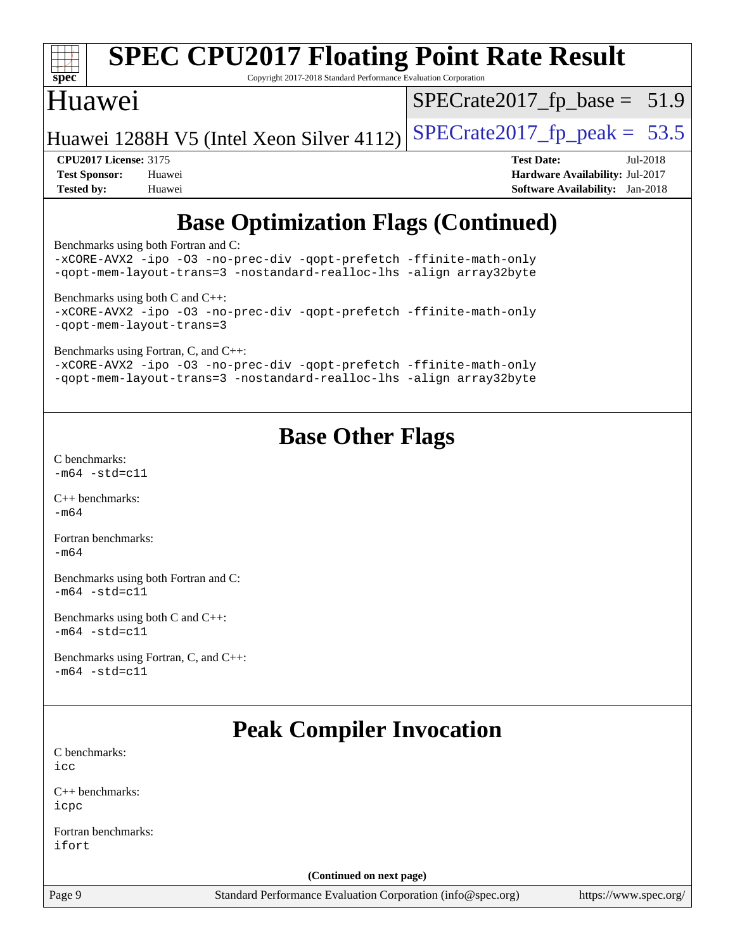

Copyright 2017-2018 Standard Performance Evaluation Corporation

### Huawei

 $SPECTate2017_fp\_base = 51.9$ 

Huawei 1288H V5 (Intel Xeon Silver 4112) SPECrate  $2017$  fp peak = 53.5

**[CPU2017 License:](http://www.spec.org/auto/cpu2017/Docs/result-fields.html#CPU2017License)** 3175 **[Test Date:](http://www.spec.org/auto/cpu2017/Docs/result-fields.html#TestDate)** Jul-2018 **[Test Sponsor:](http://www.spec.org/auto/cpu2017/Docs/result-fields.html#TestSponsor)** Huawei **[Hardware Availability:](http://www.spec.org/auto/cpu2017/Docs/result-fields.html#HardwareAvailability)** Jul-2017 **[Tested by:](http://www.spec.org/auto/cpu2017/Docs/result-fields.html#Testedby)** Huawei **[Software Availability:](http://www.spec.org/auto/cpu2017/Docs/result-fields.html#SoftwareAvailability)** Jan-2018

## **[Base Optimization Flags \(Continued\)](http://www.spec.org/auto/cpu2017/Docs/result-fields.html#BaseOptimizationFlags)**

[Benchmarks using both Fortran and C](http://www.spec.org/auto/cpu2017/Docs/result-fields.html#BenchmarksusingbothFortranandC):

[-xCORE-AVX2](http://www.spec.org/cpu2017/results/res2018q3/cpu2017-20180715-07862.flags.html#user_CC_FCbase_f-xCORE-AVX2) [-ipo](http://www.spec.org/cpu2017/results/res2018q3/cpu2017-20180715-07862.flags.html#user_CC_FCbase_f-ipo) [-O3](http://www.spec.org/cpu2017/results/res2018q3/cpu2017-20180715-07862.flags.html#user_CC_FCbase_f-O3) [-no-prec-div](http://www.spec.org/cpu2017/results/res2018q3/cpu2017-20180715-07862.flags.html#user_CC_FCbase_f-no-prec-div) [-qopt-prefetch](http://www.spec.org/cpu2017/results/res2018q3/cpu2017-20180715-07862.flags.html#user_CC_FCbase_f-qopt-prefetch) [-ffinite-math-only](http://www.spec.org/cpu2017/results/res2018q3/cpu2017-20180715-07862.flags.html#user_CC_FCbase_f_finite_math_only_cb91587bd2077682c4b38af759c288ed7c732db004271a9512da14a4f8007909a5f1427ecbf1a0fb78ff2a814402c6114ac565ca162485bbcae155b5e4258871) [-qopt-mem-layout-trans=3](http://www.spec.org/cpu2017/results/res2018q3/cpu2017-20180715-07862.flags.html#user_CC_FCbase_f-qopt-mem-layout-trans_de80db37974c74b1f0e20d883f0b675c88c3b01e9d123adea9b28688d64333345fb62bc4a798493513fdb68f60282f9a726aa07f478b2f7113531aecce732043) [-nostandard-realloc-lhs](http://www.spec.org/cpu2017/results/res2018q3/cpu2017-20180715-07862.flags.html#user_CC_FCbase_f_2003_std_realloc_82b4557e90729c0f113870c07e44d33d6f5a304b4f63d4c15d2d0f1fab99f5daaed73bdb9275d9ae411527f28b936061aa8b9c8f2d63842963b95c9dd6426b8a) [-align array32byte](http://www.spec.org/cpu2017/results/res2018q3/cpu2017-20180715-07862.flags.html#user_CC_FCbase_align_array32byte_b982fe038af199962ba9a80c053b8342c548c85b40b8e86eb3cc33dee0d7986a4af373ac2d51c3f7cf710a18d62fdce2948f201cd044323541f22fc0fffc51b6) [Benchmarks using both C and C++](http://www.spec.org/auto/cpu2017/Docs/result-fields.html#BenchmarksusingbothCandCXX): [-xCORE-AVX2](http://www.spec.org/cpu2017/results/res2018q3/cpu2017-20180715-07862.flags.html#user_CC_CXXbase_f-xCORE-AVX2) [-ipo](http://www.spec.org/cpu2017/results/res2018q3/cpu2017-20180715-07862.flags.html#user_CC_CXXbase_f-ipo) [-O3](http://www.spec.org/cpu2017/results/res2018q3/cpu2017-20180715-07862.flags.html#user_CC_CXXbase_f-O3) [-no-prec-div](http://www.spec.org/cpu2017/results/res2018q3/cpu2017-20180715-07862.flags.html#user_CC_CXXbase_f-no-prec-div) [-qopt-prefetch](http://www.spec.org/cpu2017/results/res2018q3/cpu2017-20180715-07862.flags.html#user_CC_CXXbase_f-qopt-prefetch) [-ffinite-math-only](http://www.spec.org/cpu2017/results/res2018q3/cpu2017-20180715-07862.flags.html#user_CC_CXXbase_f_finite_math_only_cb91587bd2077682c4b38af759c288ed7c732db004271a9512da14a4f8007909a5f1427ecbf1a0fb78ff2a814402c6114ac565ca162485bbcae155b5e4258871) [-qopt-mem-layout-trans=3](http://www.spec.org/cpu2017/results/res2018q3/cpu2017-20180715-07862.flags.html#user_CC_CXXbase_f-qopt-mem-layout-trans_de80db37974c74b1f0e20d883f0b675c88c3b01e9d123adea9b28688d64333345fb62bc4a798493513fdb68f60282f9a726aa07f478b2f7113531aecce732043) [Benchmarks using Fortran, C, and C++:](http://www.spec.org/auto/cpu2017/Docs/result-fields.html#BenchmarksusingFortranCandCXX) [-xCORE-AVX2](http://www.spec.org/cpu2017/results/res2018q3/cpu2017-20180715-07862.flags.html#user_CC_CXX_FCbase_f-xCORE-AVX2) [-ipo](http://www.spec.org/cpu2017/results/res2018q3/cpu2017-20180715-07862.flags.html#user_CC_CXX_FCbase_f-ipo) [-O3](http://www.spec.org/cpu2017/results/res2018q3/cpu2017-20180715-07862.flags.html#user_CC_CXX_FCbase_f-O3) [-no-prec-div](http://www.spec.org/cpu2017/results/res2018q3/cpu2017-20180715-07862.flags.html#user_CC_CXX_FCbase_f-no-prec-div) [-qopt-prefetch](http://www.spec.org/cpu2017/results/res2018q3/cpu2017-20180715-07862.flags.html#user_CC_CXX_FCbase_f-qopt-prefetch) [-ffinite-math-only](http://www.spec.org/cpu2017/results/res2018q3/cpu2017-20180715-07862.flags.html#user_CC_CXX_FCbase_f_finite_math_only_cb91587bd2077682c4b38af759c288ed7c732db004271a9512da14a4f8007909a5f1427ecbf1a0fb78ff2a814402c6114ac565ca162485bbcae155b5e4258871) [-qopt-mem-layout-trans=3](http://www.spec.org/cpu2017/results/res2018q3/cpu2017-20180715-07862.flags.html#user_CC_CXX_FCbase_f-qopt-mem-layout-trans_de80db37974c74b1f0e20d883f0b675c88c3b01e9d123adea9b28688d64333345fb62bc4a798493513fdb68f60282f9a726aa07f478b2f7113531aecce732043) [-nostandard-realloc-lhs](http://www.spec.org/cpu2017/results/res2018q3/cpu2017-20180715-07862.flags.html#user_CC_CXX_FCbase_f_2003_std_realloc_82b4557e90729c0f113870c07e44d33d6f5a304b4f63d4c15d2d0f1fab99f5daaed73bdb9275d9ae411527f28b936061aa8b9c8f2d63842963b95c9dd6426b8a) [-align array32byte](http://www.spec.org/cpu2017/results/res2018q3/cpu2017-20180715-07862.flags.html#user_CC_CXX_FCbase_align_array32byte_b982fe038af199962ba9a80c053b8342c548c85b40b8e86eb3cc33dee0d7986a4af373ac2d51c3f7cf710a18d62fdce2948f201cd044323541f22fc0fffc51b6)

## **[Base Other Flags](http://www.spec.org/auto/cpu2017/Docs/result-fields.html#BaseOtherFlags)**

[C benchmarks](http://www.spec.org/auto/cpu2017/Docs/result-fields.html#Cbenchmarks):  $-m64 - std = c11$  $-m64 - std = c11$ 

[C++ benchmarks:](http://www.spec.org/auto/cpu2017/Docs/result-fields.html#CXXbenchmarks) [-m64](http://www.spec.org/cpu2017/results/res2018q3/cpu2017-20180715-07862.flags.html#user_CXXbase_intel_intel64_18.0_af43caccfc8ded86e7699f2159af6efc7655f51387b94da716254467f3c01020a5059329e2569e4053f409e7c9202a7efc638f7a6d1ffb3f52dea4a3e31d82ab)

[Fortran benchmarks](http://www.spec.org/auto/cpu2017/Docs/result-fields.html#Fortranbenchmarks):  $-m64$ 

[Benchmarks using both Fortran and C](http://www.spec.org/auto/cpu2017/Docs/result-fields.html#BenchmarksusingbothFortranandC):  $-m64 - std = c11$  $-m64 - std = c11$ 

[Benchmarks using both C and C++](http://www.spec.org/auto/cpu2017/Docs/result-fields.html#BenchmarksusingbothCandCXX):  $-m64 - std = c11$  $-m64 - std = c11$ 

[Benchmarks using Fortran, C, and C++:](http://www.spec.org/auto/cpu2017/Docs/result-fields.html#BenchmarksusingFortranCandCXX)  $-m64 - std = c11$  $-m64 - std = c11$ 

## **[Peak Compiler Invocation](http://www.spec.org/auto/cpu2017/Docs/result-fields.html#PeakCompilerInvocation)**

| C benchmarks: |  |
|---------------|--|
| icc           |  |

[C++ benchmarks:](http://www.spec.org/auto/cpu2017/Docs/result-fields.html#CXXbenchmarks) [icpc](http://www.spec.org/cpu2017/results/res2018q3/cpu2017-20180715-07862.flags.html#user_CXXpeak_intel_icpc_18.0_c510b6838c7f56d33e37e94d029a35b4a7bccf4766a728ee175e80a419847e808290a9b78be685c44ab727ea267ec2f070ec5dc83b407c0218cded6866a35d07)

[Fortran benchmarks](http://www.spec.org/auto/cpu2017/Docs/result-fields.html#Fortranbenchmarks): [ifort](http://www.spec.org/cpu2017/results/res2018q3/cpu2017-20180715-07862.flags.html#user_FCpeak_intel_ifort_18.0_8111460550e3ca792625aed983ce982f94888b8b503583aa7ba2b8303487b4d8a21a13e7191a45c5fd58ff318f48f9492884d4413fa793fd88dd292cad7027ca)

**(Continued on next page)**

Page 9 Standard Performance Evaluation Corporation [\(info@spec.org\)](mailto:info@spec.org) <https://www.spec.org/>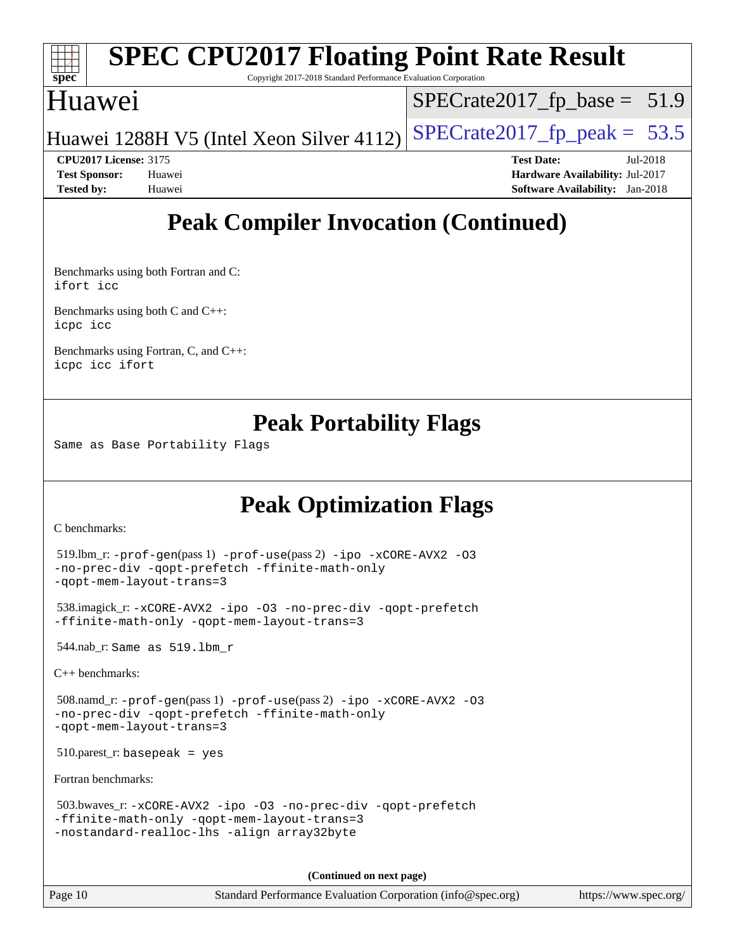

Copyright 2017-2018 Standard Performance Evaluation Corporation

### Huawei

 $SPECTate2017_fp\_base = 51.9$ 

Huawei 1288H V5 (Intel Xeon Silver 4112) SPECrate  $2017$  fp peak = 53.5

**[CPU2017 License:](http://www.spec.org/auto/cpu2017/Docs/result-fields.html#CPU2017License)** 3175 **[Test Date:](http://www.spec.org/auto/cpu2017/Docs/result-fields.html#TestDate)** Jul-2018

**[Test Sponsor:](http://www.spec.org/auto/cpu2017/Docs/result-fields.html#TestSponsor)** Huawei **[Hardware Availability:](http://www.spec.org/auto/cpu2017/Docs/result-fields.html#HardwareAvailability)** Jul-2017 **[Tested by:](http://www.spec.org/auto/cpu2017/Docs/result-fields.html#Testedby)** Huawei **[Software Availability:](http://www.spec.org/auto/cpu2017/Docs/result-fields.html#SoftwareAvailability)** Jan-2018

## **[Peak Compiler Invocation \(Continued\)](http://www.spec.org/auto/cpu2017/Docs/result-fields.html#PeakCompilerInvocation)**

[Benchmarks using both Fortran and C](http://www.spec.org/auto/cpu2017/Docs/result-fields.html#BenchmarksusingbothFortranandC): [ifort](http://www.spec.org/cpu2017/results/res2018q3/cpu2017-20180715-07862.flags.html#user_CC_FCpeak_intel_ifort_18.0_8111460550e3ca792625aed983ce982f94888b8b503583aa7ba2b8303487b4d8a21a13e7191a45c5fd58ff318f48f9492884d4413fa793fd88dd292cad7027ca) [icc](http://www.spec.org/cpu2017/results/res2018q3/cpu2017-20180715-07862.flags.html#user_CC_FCpeak_intel_icc_18.0_66fc1ee009f7361af1fbd72ca7dcefbb700085f36577c54f309893dd4ec40d12360134090235512931783d35fd58c0460139e722d5067c5574d8eaf2b3e37e92)

[Benchmarks using both C and C++](http://www.spec.org/auto/cpu2017/Docs/result-fields.html#BenchmarksusingbothCandCXX): [icpc](http://www.spec.org/cpu2017/results/res2018q3/cpu2017-20180715-07862.flags.html#user_CC_CXXpeak_intel_icpc_18.0_c510b6838c7f56d33e37e94d029a35b4a7bccf4766a728ee175e80a419847e808290a9b78be685c44ab727ea267ec2f070ec5dc83b407c0218cded6866a35d07) [icc](http://www.spec.org/cpu2017/results/res2018q3/cpu2017-20180715-07862.flags.html#user_CC_CXXpeak_intel_icc_18.0_66fc1ee009f7361af1fbd72ca7dcefbb700085f36577c54f309893dd4ec40d12360134090235512931783d35fd58c0460139e722d5067c5574d8eaf2b3e37e92)

[Benchmarks using Fortran, C, and C++:](http://www.spec.org/auto/cpu2017/Docs/result-fields.html#BenchmarksusingFortranCandCXX) [icpc](http://www.spec.org/cpu2017/results/res2018q3/cpu2017-20180715-07862.flags.html#user_CC_CXX_FCpeak_intel_icpc_18.0_c510b6838c7f56d33e37e94d029a35b4a7bccf4766a728ee175e80a419847e808290a9b78be685c44ab727ea267ec2f070ec5dc83b407c0218cded6866a35d07) [icc](http://www.spec.org/cpu2017/results/res2018q3/cpu2017-20180715-07862.flags.html#user_CC_CXX_FCpeak_intel_icc_18.0_66fc1ee009f7361af1fbd72ca7dcefbb700085f36577c54f309893dd4ec40d12360134090235512931783d35fd58c0460139e722d5067c5574d8eaf2b3e37e92) [ifort](http://www.spec.org/cpu2017/results/res2018q3/cpu2017-20180715-07862.flags.html#user_CC_CXX_FCpeak_intel_ifort_18.0_8111460550e3ca792625aed983ce982f94888b8b503583aa7ba2b8303487b4d8a21a13e7191a45c5fd58ff318f48f9492884d4413fa793fd88dd292cad7027ca)

### **[Peak Portability Flags](http://www.spec.org/auto/cpu2017/Docs/result-fields.html#PeakPortabilityFlags)**

Same as Base Portability Flags

## **[Peak Optimization Flags](http://www.spec.org/auto/cpu2017/Docs/result-fields.html#PeakOptimizationFlags)**

[C benchmarks](http://www.spec.org/auto/cpu2017/Docs/result-fields.html#Cbenchmarks):

```
 519.lbm_r: -prof-gen(pass 1) -prof-use(pass 2) -ipo -xCORE-AVX2 -O3
-no-prec-div -qopt-prefetch -ffinite-math-only
-qopt-mem-layout-trans=3
 538.imagick_r: -xCORE-AVX2 -ipo -O3 -no-prec-div -qopt-prefetch
-ffinite-math-only -qopt-mem-layout-trans=3
 544.nab_r: Same as 519.lbm_r
C++ benchmarks: 
 508.namd_r: -prof-gen(pass 1) -prof-use(pass 2) -ipo -xCORE-AVX2 -O3
-no-prec-div -qopt-prefetch -ffinite-math-only
-qopt-mem-layout-trans=3
 510.parest_r: basepeak = yes
Fortran benchmarks: 
 503.bwaves_r: -xCORE-AVX2 -ipo -O3 -no-prec-div -qopt-prefetch
-ffinite-math-only -qopt-mem-layout-trans=3
-nostandard-realloc-lhs -align array32byte
```
**(Continued on next page)**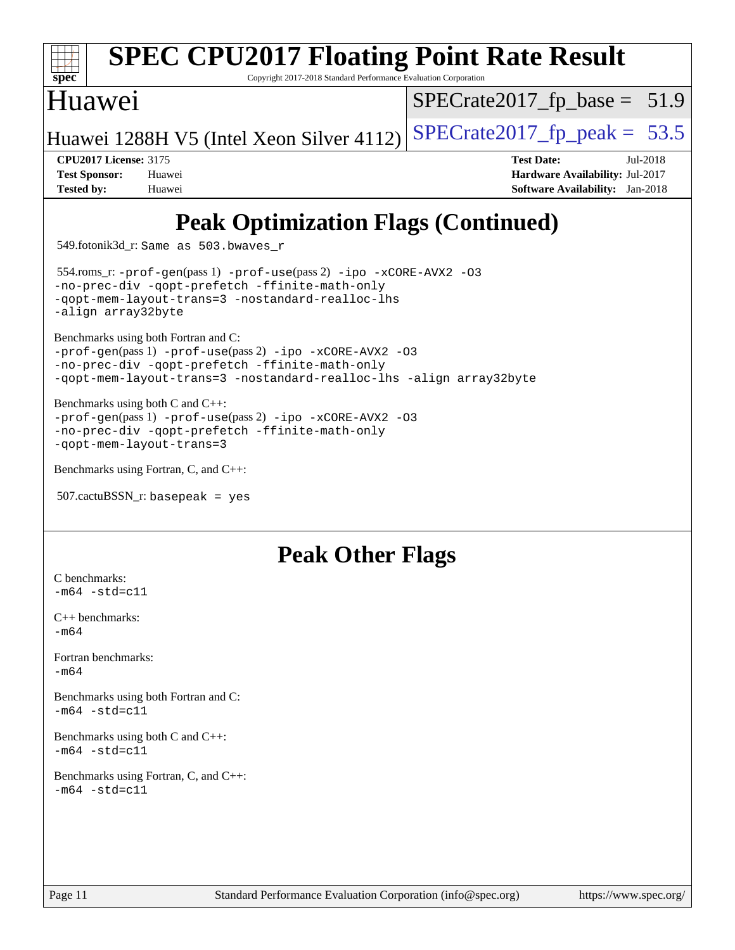

Copyright 2017-2018 Standard Performance Evaluation Corporation

### Huawei

 $SPECTate2017_fp\_base = 51.9$ 

Huawei 1288H V5 (Intel Xeon Silver 4112) SPECrate  $2017$  fp peak = 53.5

**[CPU2017 License:](http://www.spec.org/auto/cpu2017/Docs/result-fields.html#CPU2017License)** 3175 **[Test Date:](http://www.spec.org/auto/cpu2017/Docs/result-fields.html#TestDate)** Jul-2018 **[Test Sponsor:](http://www.spec.org/auto/cpu2017/Docs/result-fields.html#TestSponsor)** Huawei **[Hardware Availability:](http://www.spec.org/auto/cpu2017/Docs/result-fields.html#HardwareAvailability)** Jul-2017 **[Tested by:](http://www.spec.org/auto/cpu2017/Docs/result-fields.html#Testedby)** Huawei **[Software Availability:](http://www.spec.org/auto/cpu2017/Docs/result-fields.html#SoftwareAvailability)** Jan-2018

## **[Peak Optimization Flags \(Continued\)](http://www.spec.org/auto/cpu2017/Docs/result-fields.html#PeakOptimizationFlags)**

549.fotonik3d\_r: Same as 503.bwaves\_r

 554.roms\_r: [-prof-gen](http://www.spec.org/cpu2017/results/res2018q3/cpu2017-20180715-07862.flags.html#user_peakPASS1_FFLAGSPASS1_LDFLAGS554_roms_r_prof_gen_5aa4926d6013ddb2a31985c654b3eb18169fc0c6952a63635c234f711e6e63dd76e94ad52365559451ec499a2cdb89e4dc58ba4c67ef54ca681ffbe1461d6b36)(pass 1) [-prof-use](http://www.spec.org/cpu2017/results/res2018q3/cpu2017-20180715-07862.flags.html#user_peakPASS2_FFLAGSPASS2_LDFLAGS554_roms_r_prof_use_1a21ceae95f36a2b53c25747139a6c16ca95bd9def2a207b4f0849963b97e94f5260e30a0c64f4bb623698870e679ca08317ef8150905d41bd88c6f78df73f19)(pass 2) [-ipo](http://www.spec.org/cpu2017/results/res2018q3/cpu2017-20180715-07862.flags.html#user_peakPASS1_FOPTIMIZEPASS2_FOPTIMIZE554_roms_r_f-ipo) [-xCORE-AVX2](http://www.spec.org/cpu2017/results/res2018q3/cpu2017-20180715-07862.flags.html#user_peakPASS2_FOPTIMIZE554_roms_r_f-xCORE-AVX2) [-O3](http://www.spec.org/cpu2017/results/res2018q3/cpu2017-20180715-07862.flags.html#user_peakPASS1_FOPTIMIZEPASS2_FOPTIMIZE554_roms_r_f-O3) [-no-prec-div](http://www.spec.org/cpu2017/results/res2018q3/cpu2017-20180715-07862.flags.html#user_peakPASS1_FOPTIMIZEPASS2_FOPTIMIZE554_roms_r_f-no-prec-div) [-qopt-prefetch](http://www.spec.org/cpu2017/results/res2018q3/cpu2017-20180715-07862.flags.html#user_peakPASS1_FOPTIMIZEPASS2_FOPTIMIZE554_roms_r_f-qopt-prefetch) [-ffinite-math-only](http://www.spec.org/cpu2017/results/res2018q3/cpu2017-20180715-07862.flags.html#user_peakPASS1_FOPTIMIZEPASS2_FOPTIMIZE554_roms_r_f_finite_math_only_cb91587bd2077682c4b38af759c288ed7c732db004271a9512da14a4f8007909a5f1427ecbf1a0fb78ff2a814402c6114ac565ca162485bbcae155b5e4258871) [-qopt-mem-layout-trans=3](http://www.spec.org/cpu2017/results/res2018q3/cpu2017-20180715-07862.flags.html#user_peakPASS1_FOPTIMIZEPASS2_FOPTIMIZE554_roms_r_f-qopt-mem-layout-trans_de80db37974c74b1f0e20d883f0b675c88c3b01e9d123adea9b28688d64333345fb62bc4a798493513fdb68f60282f9a726aa07f478b2f7113531aecce732043) [-nostandard-realloc-lhs](http://www.spec.org/cpu2017/results/res2018q3/cpu2017-20180715-07862.flags.html#user_peakEXTRA_FOPTIMIZE554_roms_r_f_2003_std_realloc_82b4557e90729c0f113870c07e44d33d6f5a304b4f63d4c15d2d0f1fab99f5daaed73bdb9275d9ae411527f28b936061aa8b9c8f2d63842963b95c9dd6426b8a) [-align array32byte](http://www.spec.org/cpu2017/results/res2018q3/cpu2017-20180715-07862.flags.html#user_peakEXTRA_FOPTIMIZE554_roms_r_align_array32byte_b982fe038af199962ba9a80c053b8342c548c85b40b8e86eb3cc33dee0d7986a4af373ac2d51c3f7cf710a18d62fdce2948f201cd044323541f22fc0fffc51b6)

[Benchmarks using both Fortran and C](http://www.spec.org/auto/cpu2017/Docs/result-fields.html#BenchmarksusingbothFortranandC):

[-prof-gen](http://www.spec.org/cpu2017/results/res2018q3/cpu2017-20180715-07862.flags.html#user_CC_FCpeak_prof_gen_5aa4926d6013ddb2a31985c654b3eb18169fc0c6952a63635c234f711e6e63dd76e94ad52365559451ec499a2cdb89e4dc58ba4c67ef54ca681ffbe1461d6b36)(pass 1) [-prof-use](http://www.spec.org/cpu2017/results/res2018q3/cpu2017-20180715-07862.flags.html#user_CC_FCpeak_prof_use_1a21ceae95f36a2b53c25747139a6c16ca95bd9def2a207b4f0849963b97e94f5260e30a0c64f4bb623698870e679ca08317ef8150905d41bd88c6f78df73f19)(pass 2) [-ipo](http://www.spec.org/cpu2017/results/res2018q3/cpu2017-20180715-07862.flags.html#user_CC_FCpeak_f-ipo) [-xCORE-AVX2](http://www.spec.org/cpu2017/results/res2018q3/cpu2017-20180715-07862.flags.html#user_CC_FCpeak_f-xCORE-AVX2) [-O3](http://www.spec.org/cpu2017/results/res2018q3/cpu2017-20180715-07862.flags.html#user_CC_FCpeak_f-O3) [-no-prec-div](http://www.spec.org/cpu2017/results/res2018q3/cpu2017-20180715-07862.flags.html#user_CC_FCpeak_f-no-prec-div) [-qopt-prefetch](http://www.spec.org/cpu2017/results/res2018q3/cpu2017-20180715-07862.flags.html#user_CC_FCpeak_f-qopt-prefetch) [-ffinite-math-only](http://www.spec.org/cpu2017/results/res2018q3/cpu2017-20180715-07862.flags.html#user_CC_FCpeak_f_finite_math_only_cb91587bd2077682c4b38af759c288ed7c732db004271a9512da14a4f8007909a5f1427ecbf1a0fb78ff2a814402c6114ac565ca162485bbcae155b5e4258871) [-qopt-mem-layout-trans=3](http://www.spec.org/cpu2017/results/res2018q3/cpu2017-20180715-07862.flags.html#user_CC_FCpeak_f-qopt-mem-layout-trans_de80db37974c74b1f0e20d883f0b675c88c3b01e9d123adea9b28688d64333345fb62bc4a798493513fdb68f60282f9a726aa07f478b2f7113531aecce732043) [-nostandard-realloc-lhs](http://www.spec.org/cpu2017/results/res2018q3/cpu2017-20180715-07862.flags.html#user_CC_FCpeak_f_2003_std_realloc_82b4557e90729c0f113870c07e44d33d6f5a304b4f63d4c15d2d0f1fab99f5daaed73bdb9275d9ae411527f28b936061aa8b9c8f2d63842963b95c9dd6426b8a) [-align array32byte](http://www.spec.org/cpu2017/results/res2018q3/cpu2017-20180715-07862.flags.html#user_CC_FCpeak_align_array32byte_b982fe038af199962ba9a80c053b8342c548c85b40b8e86eb3cc33dee0d7986a4af373ac2d51c3f7cf710a18d62fdce2948f201cd044323541f22fc0fffc51b6)

[Benchmarks using both C and C++](http://www.spec.org/auto/cpu2017/Docs/result-fields.html#BenchmarksusingbothCandCXX):

[-prof-gen](http://www.spec.org/cpu2017/results/res2018q3/cpu2017-20180715-07862.flags.html#user_CC_CXXpeak_prof_gen_5aa4926d6013ddb2a31985c654b3eb18169fc0c6952a63635c234f711e6e63dd76e94ad52365559451ec499a2cdb89e4dc58ba4c67ef54ca681ffbe1461d6b36)(pass 1) [-prof-use](http://www.spec.org/cpu2017/results/res2018q3/cpu2017-20180715-07862.flags.html#user_CC_CXXpeak_prof_use_1a21ceae95f36a2b53c25747139a6c16ca95bd9def2a207b4f0849963b97e94f5260e30a0c64f4bb623698870e679ca08317ef8150905d41bd88c6f78df73f19)(pass 2) [-ipo](http://www.spec.org/cpu2017/results/res2018q3/cpu2017-20180715-07862.flags.html#user_CC_CXXpeak_f-ipo) [-xCORE-AVX2](http://www.spec.org/cpu2017/results/res2018q3/cpu2017-20180715-07862.flags.html#user_CC_CXXpeak_f-xCORE-AVX2) [-O3](http://www.spec.org/cpu2017/results/res2018q3/cpu2017-20180715-07862.flags.html#user_CC_CXXpeak_f-O3) [-no-prec-div](http://www.spec.org/cpu2017/results/res2018q3/cpu2017-20180715-07862.flags.html#user_CC_CXXpeak_f-no-prec-div) [-qopt-prefetch](http://www.spec.org/cpu2017/results/res2018q3/cpu2017-20180715-07862.flags.html#user_CC_CXXpeak_f-qopt-prefetch) [-ffinite-math-only](http://www.spec.org/cpu2017/results/res2018q3/cpu2017-20180715-07862.flags.html#user_CC_CXXpeak_f_finite_math_only_cb91587bd2077682c4b38af759c288ed7c732db004271a9512da14a4f8007909a5f1427ecbf1a0fb78ff2a814402c6114ac565ca162485bbcae155b5e4258871) [-qopt-mem-layout-trans=3](http://www.spec.org/cpu2017/results/res2018q3/cpu2017-20180715-07862.flags.html#user_CC_CXXpeak_f-qopt-mem-layout-trans_de80db37974c74b1f0e20d883f0b675c88c3b01e9d123adea9b28688d64333345fb62bc4a798493513fdb68f60282f9a726aa07f478b2f7113531aecce732043)

```
Benchmarks using Fortran, C, and C++:
```

```
 507.cactuBSSN_r: basepeak = yes
```
### **[Peak Other Flags](http://www.spec.org/auto/cpu2017/Docs/result-fields.html#PeakOtherFlags)**

[C benchmarks](http://www.spec.org/auto/cpu2017/Docs/result-fields.html#Cbenchmarks):  $-m64 - std = c11$  $-m64 - std = c11$ 

[C++ benchmarks:](http://www.spec.org/auto/cpu2017/Docs/result-fields.html#CXXbenchmarks)  $-m64$ 

[Fortran benchmarks](http://www.spec.org/auto/cpu2017/Docs/result-fields.html#Fortranbenchmarks): [-m64](http://www.spec.org/cpu2017/results/res2018q3/cpu2017-20180715-07862.flags.html#user_FCpeak_intel_intel64_18.0_af43caccfc8ded86e7699f2159af6efc7655f51387b94da716254467f3c01020a5059329e2569e4053f409e7c9202a7efc638f7a6d1ffb3f52dea4a3e31d82ab)

[Benchmarks using both Fortran and C](http://www.spec.org/auto/cpu2017/Docs/result-fields.html#BenchmarksusingbothFortranandC):  $-m64$   $-std=cl1$ 

[Benchmarks using both C and C++](http://www.spec.org/auto/cpu2017/Docs/result-fields.html#BenchmarksusingbothCandCXX):  $-m64$   $-std=cl1$ 

[Benchmarks using Fortran, C, and C++:](http://www.spec.org/auto/cpu2017/Docs/result-fields.html#BenchmarksusingFortranCandCXX)  $-m64 - std= c11$  $-m64 - std= c11$